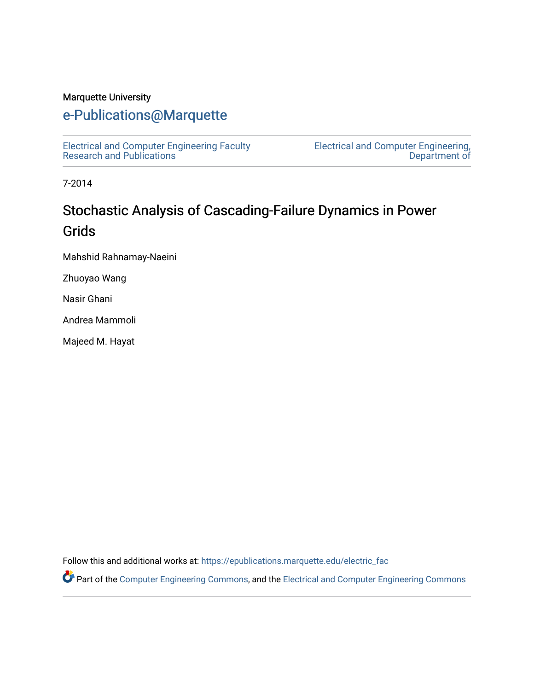#### Marquette University

# [e-Publications@Marquette](https://epublications.marquette.edu/)

[Electrical and Computer Engineering Faculty](https://epublications.marquette.edu/electric_fac) [Research and Publications](https://epublications.marquette.edu/electric_fac) 

[Electrical and Computer Engineering,](https://epublications.marquette.edu/electric)  [Department of](https://epublications.marquette.edu/electric) 

7-2014

# Stochastic Analysis of Cascading-Failure Dynamics in Power Grids

Mahshid Rahnamay-Naeini

Zhuoyao Wang

Nasir Ghani

Andrea Mammoli

Majeed M. Hayat

Follow this and additional works at: [https://epublications.marquette.edu/electric\\_fac](https://epublications.marquette.edu/electric_fac?utm_source=epublications.marquette.edu%2Felectric_fac%2F562&utm_medium=PDF&utm_campaign=PDFCoverPages) 

Part of the [Computer Engineering Commons,](http://network.bepress.com/hgg/discipline/258?utm_source=epublications.marquette.edu%2Felectric_fac%2F562&utm_medium=PDF&utm_campaign=PDFCoverPages) and the [Electrical and Computer Engineering Commons](http://network.bepress.com/hgg/discipline/266?utm_source=epublications.marquette.edu%2Felectric_fac%2F562&utm_medium=PDF&utm_campaign=PDFCoverPages)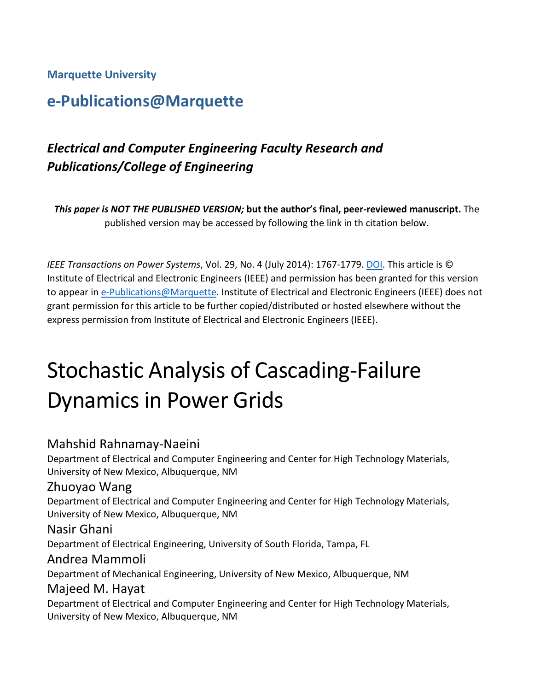#### **Marquette University**

# **e-Publications@Marquette**

# *Electrical and Computer Engineering Faculty Research and Publications/College of Engineering*

*This paper is NOT THE PUBLISHED VERSION;* **but the author's final, peer-reviewed manuscript.** The published version may be accessed by following the link in th citation below.

*IEEE Transactions on Power Systems*, Vol. 29, No. 4 (July 2014): 1767-1779. [DOI.](https://doi.org/10.1109/TPWRS.2013.2297276) This article is © Institute of Electrical and Electronic Engineers (IEEE) and permission has been granted for this version to appear in [e-Publications@Marquette.](http://epublications.marquette.edu/) Institute of Electrical and Electronic Engineers (IEEE) does not grant permission for this article to be further copied/distributed or hosted elsewhere without the express permission from Institute of Electrical and Electronic Engineers (IEEE).

# Stochastic Analysis of Cascading-Failure Dynamics in Power Grids

#### Mahshid Rahnamay-Naeini

Department of Electrical and Computer Engineering and Center for High Technology Materials, University of New Mexico, Albuquerque, NM

#### Zhuoyao Wang

Department of Electrical and Computer Engineering and Center for High Technology Materials, University of New Mexico, Albuquerque, NM

#### Nasir Ghani

Department of Electrical Engineering, University of South Florida, Tampa, FL

#### Andrea Mammoli

Department of Mechanical Engineering, University of New Mexico, Albuquerque, NM

#### Majeed M. Hayat

Department of Electrical and Computer Engineering and Center for High Technology Materials, University of New Mexico, Albuquerque, NM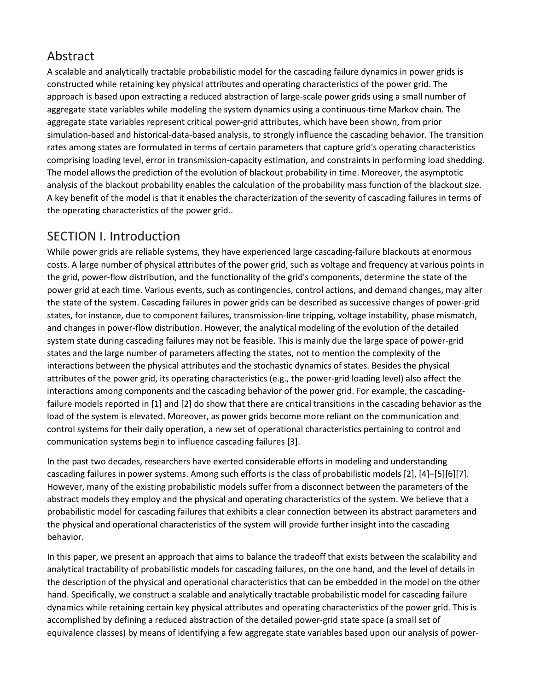## Abstract

A scalable and analytically tractable probabilistic model for the cascading failure dynamics in power grids is constructed while retaining key physical attributes and operating characteristics of the power grid. The approach is based upon extracting a reduced abstraction of large-scale power grids using a small number of aggregate state variables while modeling the system dynamics using a continuous-time Markov chain. The aggregate state variables represent critical power-grid attributes, which have been shown, from prior simulation-based and historical-data-based analysis, to strongly influence the cascading behavior. The transition rates among states are formulated in terms of certain parameters that capture grid's operating characteristics comprising loading level, error in transmission-capacity estimation, and constraints in performing load shedding. The model allows the prediction of the evolution of blackout probability in time. Moreover, the asymptotic analysis of the blackout probability enables the calculation of the probability mass function of the blackout size. A key benefit of the model is that it enables the characterization of the severity of cascading failures in terms of the operating characteristics of the power grid..

## SECTION I. Introduction

While power grids are reliable systems, they have experienced large cascading-failure blackouts at enormous costs. A large number of physical attributes of the power grid, such as voltage and frequency at various points in the grid, power-flow distribution, and the functionality of the grid's components, determine the state of the power grid at each time. Various events, such as contingencies, control actions, and demand changes, may alter the state of the system. Cascading failures in power grids can be described as successive changes of power-grid states, for instance, due to component failures, transmission-line tripping, voltage instability, phase mismatch, and changes in power-flow distribution. However, the analytical modeling of the evolution of the detailed system state during cascading failures may not be feasible. This is mainly due the large space of power-grid states and the large number of parameters affecting the states, not to mention the complexity of the interactions between the physical attributes and the stochastic dynamics of states. Besides the physical attributes of the power grid, its operating characteristics (e.g., the power-grid loading level) also affect the interactions among components and the cascading behavior of the power grid. For example, the cascadingfailure models reported in [1] and [2] do show that there are critical transitions in the cascading behavior as the load of the system is elevated. Moreover, as power grids become more reliant on the communication and control systems for their daily operation, a new set of operational characteristics pertaining to control and communication systems begin to influence cascading failures [3].

In the past two decades, researchers have exerted considerable efforts in modeling and understanding cascading failures in power systems. Among such efforts is the class of probabilistic models [2], [4]–[5][6][7]. However, many of the existing probabilistic models suffer from a disconnect between the parameters of the abstract models they employ and the physical and operating characteristics of the system. We believe that a probabilistic model for cascading failures that exhibits a clear connection between its abstract parameters and the physical and operational characteristics of the system will provide further insight into the cascading behavior.

In this paper, we present an approach that aims to balance the tradeoff that exists between the scalability and analytical tractability of probabilistic models for cascading failures, on the one hand, and the level of details in the description of the physical and operational characteristics that can be embedded in the model on the other hand. Specifically, we construct a scalable and analytically tractable probabilistic model for cascading failure dynamics while retaining certain key physical attributes and operating characteristics of the power grid. This is accomplished by defining a reduced abstraction of the detailed power-grid state space (a small set of equivalence classes) by means of identifying a few aggregate state variables based upon our analysis of power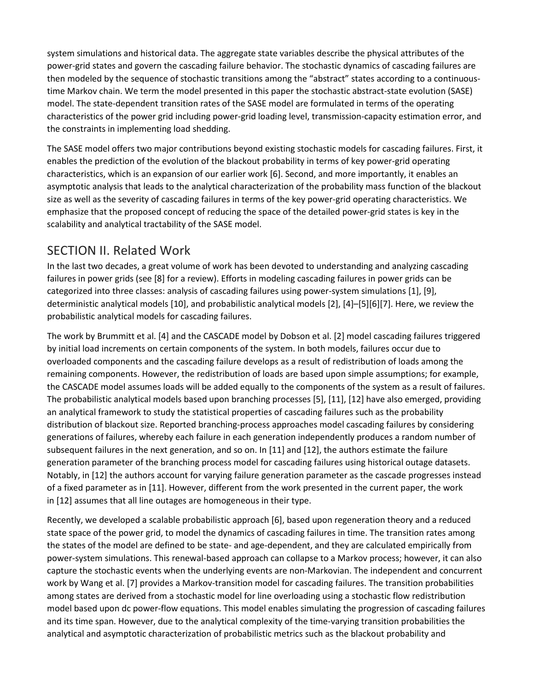system simulations and historical data. The aggregate state variables describe the physical attributes of the power-grid states and govern the cascading failure behavior. The stochastic dynamics of cascading failures are then modeled by the sequence of stochastic transitions among the "abstract" states according to a continuoustime Markov chain. We term the model presented in this paper the stochastic abstract-state evolution (SASE) model. The state-dependent transition rates of the SASE model are formulated in terms of the operating characteristics of the power grid including power-grid loading level, transmission-capacity estimation error, and the constraints in implementing load shedding.

The SASE model offers two major contributions beyond existing stochastic models for cascading failures. First, it enables the prediction of the evolution of the blackout probability in terms of key power-grid operating characteristics, which is an expansion of our earlier work [6]. Second, and more importantly, it enables an asymptotic analysis that leads to the analytical characterization of the probability mass function of the blackout size as well as the severity of cascading failures in terms of the key power-grid operating characteristics. We emphasize that the proposed concept of reducing the space of the detailed power-grid states is key in the scalability and analytical tractability of the SASE model.

## SECTION II. Related Work

In the last two decades, a great volume of work has been devoted to understanding and analyzing cascading failures in power grids (see [8] for a review). Efforts in modeling cascading failures in power grids can be categorized into three classes: analysis of cascading failures using power-system simulations [1], [9], deterministic analytical models [10], and probabilistic analytical models [2], [4]–[5][6][7]. Here, we review the probabilistic analytical models for cascading failures.

The work by Brummitt et al. [4] and the CASCADE model by Dobson et al. [2] model cascading failures triggered by initial load increments on certain components of the system. In both models, failures occur due to overloaded components and the cascading failure develops as a result of redistribution of loads among the remaining components. However, the redistribution of loads are based upon simple assumptions; for example, the CASCADE model assumes loads will be added equally to the components of the system as a result of failures. The probabilistic analytical models based upon branching processes [5], [11], [12] have also emerged, providing an analytical framework to study the statistical properties of cascading failures such as the probability distribution of blackout size. Reported branching-process approaches model cascading failures by considering generations of failures, whereby each failure in each generation independently produces a random number of subsequent failures in the next generation, and so on. In [11] and [12], the authors estimate the failure generation parameter of the branching process model for cascading failures using historical outage datasets. Notably, in [12] the authors account for varying failure generation parameter as the cascade progresses instead of a fixed parameter as in [11]. However, different from the work presented in the current paper, the work in [12] assumes that all line outages are homogeneous in their type.

Recently, we developed a scalable probabilistic approach [6], based upon regeneration theory and a reduced state space of the power grid, to model the dynamics of cascading failures in time. The transition rates among the states of the model are defined to be state- and age-dependent, and they are calculated empirically from power-system simulations. This renewal-based approach can collapse to a Markov process; however, it can also capture the stochastic events when the underlying events are non-Markovian. The independent and concurrent work by Wang et al. [7] provides a Markov-transition model for cascading failures. The transition probabilities among states are derived from a stochastic model for line overloading using a stochastic flow redistribution model based upon dc power-flow equations. This model enables simulating the progression of cascading failures and its time span. However, due to the analytical complexity of the time-varying transition probabilities the analytical and asymptotic characterization of probabilistic metrics such as the blackout probability and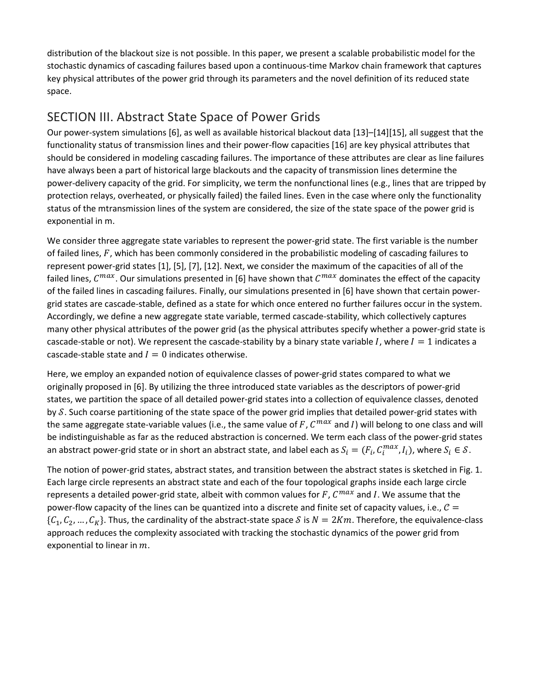distribution of the blackout size is not possible. In this paper, we present a scalable probabilistic model for the stochastic dynamics of cascading failures based upon a continuous-time Markov chain framework that captures key physical attributes of the power grid through its parameters and the novel definition of its reduced state space.

## SECTION III. Abstract State Space of Power Grids

Our power-system simulations [6], as well as available historical blackout data [13]–[14][15], all suggest that the functionality status of transmission lines and their power-flow capacities [16] are key physical attributes that should be considered in modeling cascading failures. The importance of these attributes are clear as line failures have always been a part of historical large blackouts and the capacity of transmission lines determine the power-delivery capacity of the grid. For simplicity, we term the nonfunctional lines (e.g., lines that are tripped by protection relays, overheated, or physically failed) the failed lines. Even in the case where only the functionality status of the mtransmission lines of the system are considered, the size of the state space of the power grid is exponential in m.

We consider three aggregate state variables to represent the power-grid state. The first variable is the number of failed lines,  $F$ , which has been commonly considered in the probabilistic modeling of cascading failures to represent power-grid states [1], [5], [7], [12]. Next, we consider the maximum of the capacities of all of the failed lines,  $C^{max}$ . Our simulations presented in [6] have shown that  $C^{max}$  dominates the effect of the capacity of the failed lines in cascading failures. Finally, our simulations presented in [6] have shown that certain powergrid states are cascade-stable, defined as a state for which once entered no further failures occur in the system. Accordingly, we define a new aggregate state variable, termed cascade-stability, which collectively captures many other physical attributes of the power grid (as the physical attributes specify whether a power-grid state is cascade-stable or not). We represent the cascade-stability by a binary state variable I, where  $I = 1$  indicates a cascade-stable state and  $I = 0$  indicates otherwise.

Here, we employ an expanded notion of equivalence classes of power-grid states compared to what we originally proposed in [6]. By utilizing the three introduced state variables as the descriptors of power-grid states, we partition the space of all detailed power-grid states into a collection of equivalence classes, denoted by S. Such coarse partitioning of the state space of the power grid implies that detailed power-grid states with the same aggregate state-variable values (i.e., the same value of F,  $C^{max}$  and I) will belong to one class and will be indistinguishable as far as the reduced abstraction is concerned. We term each class of the power-grid states an abstract power-grid state or in short an abstract state, and label each as  $S_i=(F_i,C_i^{max},I_i)$ , where  $S_i\in\mathcal{S}.$ 

The notion of power-grid states, abstract states, and transition between the abstract states is sketched in Fig. 1. Each large circle represents an abstract state and each of the four topological graphs inside each large circle represents a detailed power-grid state, albeit with common values for F,  $C^{max}$  and I. We assume that the power-flow capacity of the lines can be quantized into a discrete and finite set of capacity values, i.e.,  $\mathcal{C} =$  $\{C_1, C_2, ..., C_K\}$ . Thus, the cardinality of the abstract-state space S is  $N = 2Km$ . Therefore, the equivalence-class approach reduces the complexity associated with tracking the stochastic dynamics of the power grid from exponential to linear in  $m$ .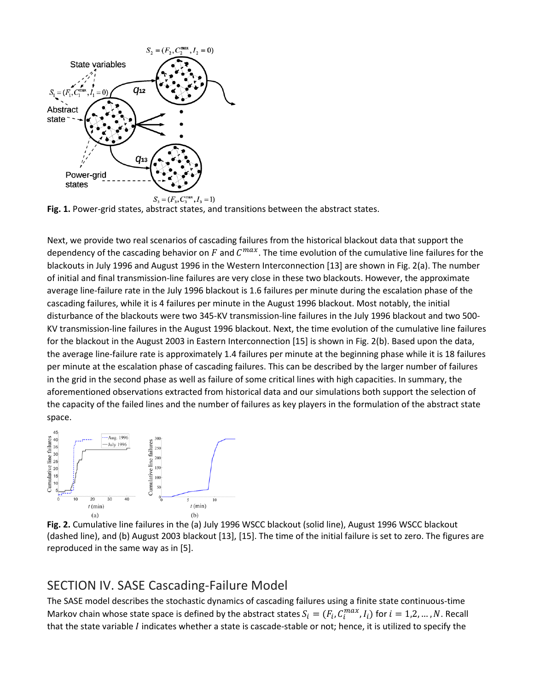

**Fig. 1.** Power-grid states, abstract states, and transitions between the abstract states.

Next, we provide two real scenarios of cascading failures from the historical blackout data that support the dependency of the cascading behavior on F and  $C^{max}$ . The time evolution of the cumulative line failures for the blackouts in July 1996 and August 1996 in the Western Interconnection [13] are shown in Fig. 2(a). The number of initial and final transmission-line failures are very close in these two blackouts. However, the approximate average line-failure rate in the July 1996 blackout is 1.6 failures per minute during the escalation phase of the cascading failures, while it is 4 failures per minute in the August 1996 blackout. Most notably, the initial disturbance of the blackouts were two 345-KV transmission-line failures in the July 1996 blackout and two 500- KV transmission-line failures in the August 1996 blackout. Next, the time evolution of the cumulative line failures for the blackout in the August 2003 in Eastern Interconnection [15] is shown in Fig. 2(b). Based upon the data, the average line-failure rate is approximately 1.4 failures per minute at the beginning phase while it is 18 failures per minute at the escalation phase of cascading failures. This can be described by the larger number of failures in the grid in the second phase as well as failure of some critical lines with high capacities. In summary, the aforementioned observations extracted from historical data and our simulations both support the selection of the capacity of the failed lines and the number of failures as key players in the formulation of the abstract state space.



**Fig. 2.** Cumulative line failures in the (a) July 1996 WSCC blackout (solid line), August 1996 WSCC blackout (dashed line), and (b) August 2003 blackout [13], [15]. The time of the initial failure is set to zero. The figures are reproduced in the same way as in [5].

#### SECTION IV. SASE Cascading-Failure Model

The SASE model describes the stochastic dynamics of cascading failures using a finite state continuous-time Markov chain whose state space is defined by the abstract states  $S_i = (F_i, C_i^{max}, I_i)$  for  $i = 1, 2, ..., N$ . Recall that the state variable I indicates whether a state is cascade-stable or not; hence, it is utilized to specify the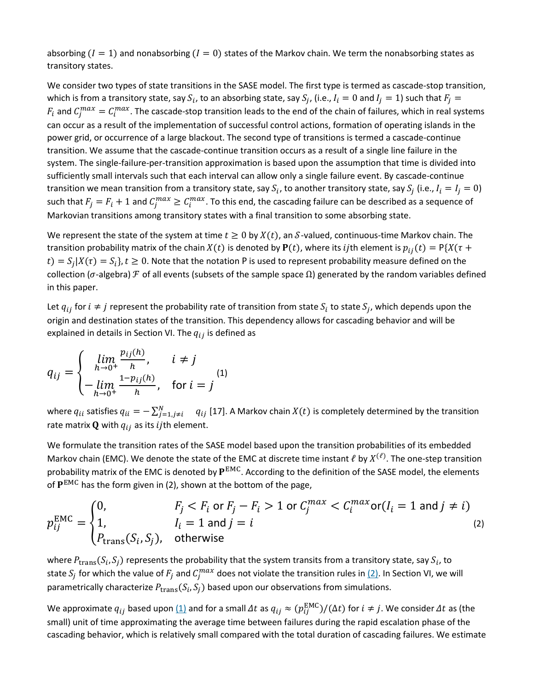absorbing  $(I = 1)$  and nonabsorbing  $(I = 0)$  states of the Markov chain. We term the nonabsorbing states as transitory states.

We consider two types of state transitions in the SASE model. The first type is termed as cascade-stop transition, which is from a transitory state, say  $S_i$ , to an absorbing state, say  $S_j$ , (i.e.,  $I_i = 0$  and  $I_j = 1$ ) such that  $F_j =$  $F_i$  and  $C^{max}_j=C^{max}_i$ . The cascade-stop transition leads to the end of the chain of failures, which in real systems can occur as a result of the implementation of successful control actions, formation of operating islands in the power grid, or occurrence of a large blackout. The second type of transitions is termed a cascade-continue transition. We assume that the cascade-continue transition occurs as a result of a single line failure in the system. The single-failure-per-transition approximation is based upon the assumption that time is divided into sufficiently small intervals such that each interval can allow only a single failure event. By cascade-continue transition we mean transition from a transitory state, say  $S_i$ , to another transitory state, say  $S_i$  (i.e.,  $I_i = I_j = 0$ ) such that  $F_j = F_i + 1$  and  $C_j^{max} \geq C_i^{max}$ . To this end, the cascading failure can be described as a sequence of Markovian transitions among transitory states with a final transition to some absorbing state.

We represent the state of the system at time  $t \ge 0$  by  $X(t)$ , an S-valued, continuous-time Markov chain. The transition probability matrix of the chain  $X(t)$  is denoted by  $P(t)$ , where its ijth element is  $p_{ij}(t) = P\{X(\tau +$  $(t) = S_i|X(\tau) = S_i$ ,  $t \ge 0$ . Note that the notation P is used to represent probability measure defined on the collection ( $\sigma$ -algebra)  $\mathcal F$  of all events (subsets of the sample space  $\Omega$ ) generated by the random variables defined in this paper.

Let  $q_{ij}$  for  $i \neq j$  represent the probability rate of transition from state  $S_i$  to state  $S_i$ , which depends upon the origin and destination states of the transition. This dependency allows for cascading behavior and will be explained in details in Section VI. The  $q_{ij}$  is defined as

$$
q_{ij} = \begin{cases} \lim_{h \to 0^{+}} \frac{p_{ij}(h)}{h}, & i \neq j \\ -\lim_{h \to 0^{+}} \frac{1 - p_{ij}(h)}{h}, & \text{for } i = j \end{cases}
$$
 (1)

where  $q_{ii}$  satisfies  $q_{ii}=-\sum_{j=1,j\neq i}^N-q_{ij}$  [17]. A Markov chain  $X(t)$  is completely determined by the transition rate matrix  $\bf{Q}$  with  $q_{ij}$  as its ijth element.

We formulate the transition rates of the SASE model based upon the transition probabilities of its embedded Markov chain (EMC). We denote the state of the EMC at discrete time instant  $\ell$  by  $X^{(\ell)}$ . The one-step transition probability matrix of the EMC is denoted by  $P^{EMC}$ . According to the definition of the SASE model, the elements of  $P^{EMC}$  has the form given in (2), shown at the bottom of the page,

$$
p_{ij}^{\text{EMC}} = \begin{cases} 0, & F_j < F_i \text{ or } F_j - F_i > 1 \text{ or } C_j^{\max} < C_i^{\max} \text{ or } (I_i = 1 \text{ and } j \neq i) \\ 1, & I_i = 1 \text{ and } j = i \\ P_{\text{trans}}(S_i, S_j), & \text{otherwise} \end{cases} \tag{2}
$$

where  $P_{\text{trans}}(S_i, S_j)$  represents the probability that the system transits from a transitory state, say  $S_i$ , to state  $S_j$  for which the value of  $F_j$  and  $C_j^{max}$  does not violate the transition rules in <u>(2)</u>. In Section VI, we will parametrically characterize  $P_{trans}(S_i, S_j)$  based upon our observations from simulations.

We approximate  $q_{ij}$  based upon  $\underline{(1)}$  $\underline{(1)}$  $\underline{(1)}$  and for a small  $\varDelta t$  as  $q_{ij}\approx (p_{ij}^{\rm EMC})/(\varDelta t)$  for  $i\neq j.$  We consider  $\varDelta t$  as (the small) unit of time approximating the average time between failures during the rapid escalation phase of the cascading behavior, which is relatively small compared with the total duration of cascading failures. We estimate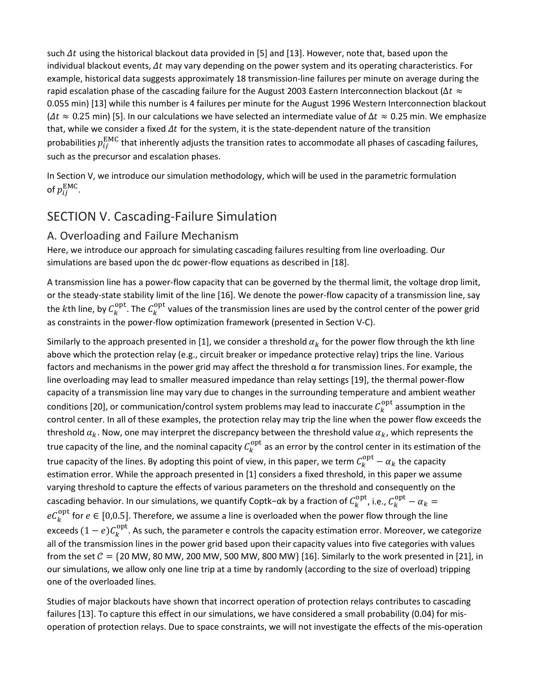such  $\Delta t$  using the historical blackout data provided in [5] and [13]. However, note that, based upon the individual blackout events,  $\Delta t$  may vary depending on the power system and its operating characteristics. For example, historical data suggests approximately 18 transmission-line failures per minute on average during the rapid escalation phase of the cascading failure for the August 2003 Eastern Interconnection blackout ( $\Delta t \approx$ 0.055 min) [13] while this number is 4 failures per minute for the August 1996 Western Interconnection blackout  $(4t \approx 0.25$  min) [5]. In our calculations we have selected an intermediate value of  $\Delta t \approx 0.25$  min. We emphasize that, while we consider a fixed  $\Delta t$  for the system, it is the state-dependent nature of the transition probabilities  $p_{ij}^{EMC}$  that inherently adjusts the transition rates to accommodate all phases of cascading failures, such as the precursor and escalation phases.

In Section V, we introduce our simulation methodology, which will be used in the parametric formulation of  $p_{ij}^{\text{EMC}}$ .

## SECTION V. Cascading-Failure Simulation

#### A. Overloading and Failure Mechanism

Here, we introduce our approach for simulating cascading failures resulting from line overloading. Our simulations are based upon the dc power-flow equations as described in [18].

A transmission line has a power-flow capacity that can be governed by the thermal limit, the voltage drop limit, or the steady-state stability limit of the line [16]. We denote the power-flow capacity of a transmission line, say the kth line, by  $C_k^{\text{opt}}$ . The  $C_k^{\text{opt}}$  values of the transmission lines are used by the control center of the power grid as constraints in the power-flow optimization framework (presented in Section V-C).

Similarly to the approach presented in [1], we consider a threshold  $\alpha_k$  for the power flow through the kth line above which the protection relay (e.g., circuit breaker or impedance protective relay) trips the line. Various factors and mechanisms in the power grid may affect the threshold  $\alpha$  for transmission lines. For example, the line overloading may lead to smaller measured impedance than relay settings [19], the thermal power-flow capacity of a transmission line may vary due to changes in the surrounding temperature and ambient weather conditions [20], or communication/control system problems may lead to inaccurate  $C_k^{\text{opt}}$  assumption in the control center. In all of these examples, the protection relay may trip the line when the power flow exceeds the threshold  $\alpha_k$ . Now, one may interpret the discrepancy between the threshold value  $\alpha_k$ , which represents the true capacity of the line, and the nominal capacity  $C_k^{opt}$  as an error by the control center in its estimation of the true capacity of the lines. By adopting this point of view, in this paper, we term  $C_k^{\text{opt}} - \alpha_k$  the capacity estimation error. While the approach presented in [1] considers a fixed threshold, in this paper we assume varying threshold to capture the effects of various parameters on the threshold and consequently on the cascading behavior. In our simulations, we quantify Coptk−αk by a fraction of  $C_k^{opt}$ , i.e.,  $C_k^{opt} - \alpha_k =$  $eC_k^{\text{opt}}$  for  $e \in [0,0.5]$ . Therefore, we assume a line is overloaded when the power flow through the line exceeds  $(1-e)C_k^{\text{opt}}$ . As such, the parameter e controls the capacity estimation error. Moreover, we categorize all of the transmission lines in the power grid based upon their capacity values into five categories with values from the set  $C = \{20 \text{ MW}, 80 \text{ MW}, 200 \text{ MW}, 500 \text{ MW}, 800 \text{ MW}\}\$  [16]. Similarly to the work presented in [21], in our simulations, we allow only one line trip at a time by randomly (according to the size of overload) tripping one of the overloaded lines.

Studies of major blackouts have shown that incorrect operation of protection relays contributes to cascading failures [13]. To capture this effect in our simulations, we have considered a small probability (0.04) for misoperation of protection relays. Due to space constraints, we will not investigate the effects of the mis-operation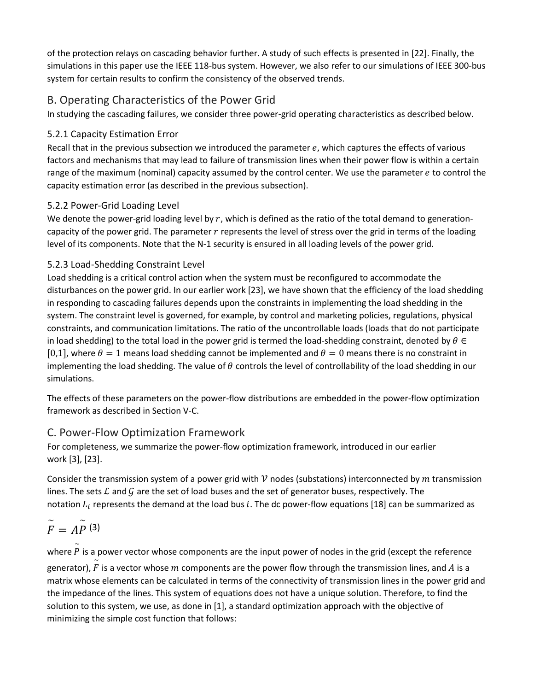of the protection relays on cascading behavior further. A study of such effects is presented in [22]. Finally, the simulations in this paper use the IEEE 118-bus system. However, we also refer to our simulations of IEEE 300-bus system for certain results to confirm the consistency of the observed trends.

#### B. Operating Characteristics of the Power Grid

In studying the cascading failures, we consider three power-grid operating characteristics as described below.

#### 5.2.1 Capacity Estimation Error

Recall that in the previous subsection we introduced the parameter  $e$ , which captures the effects of various factors and mechanisms that may lead to failure of transmission lines when their power flow is within a certain range of the maximum (nominal) capacity assumed by the control center. We use the parameter  $e$  to control the capacity estimation error (as described in the previous subsection).

#### 5.2.2 Power-Grid Loading Level

We denote the power-grid loading level by  $r$ , which is defined as the ratio of the total demand to generationcapacity of the power grid. The parameter r represents the level of stress over the grid in terms of the loading level of its components. Note that the N-1 security is ensured in all loading levels of the power grid.

#### 5.2.3 Load-Shedding Constraint Level

Load shedding is a critical control action when the system must be reconfigured to accommodate the disturbances on the power grid. In our earlier work [23], we have shown that the efficiency of the load shedding in responding to cascading failures depends upon the constraints in implementing the load shedding in the system. The constraint level is governed, for example, by control and marketing policies, regulations, physical constraints, and communication limitations. The ratio of the uncontrollable loads (loads that do not participate in load shedding) to the total load in the power grid is termed the load-shedding constraint, denoted by  $\theta \in$ [0,1], where  $\theta = 1$  means load shedding cannot be implemented and  $\theta = 0$  means there is no constraint in implementing the load shedding. The value of  $\theta$  controls the level of controllability of the load shedding in our simulations.

The effects of these parameters on the power-flow distributions are embedded in the power-flow optimization framework as described in Section V-C.

## C. Power-Flow Optimization Framework

For completeness, we summarize the power-flow optimization framework, introduced in our earlier work [3], [23].

Consider the transmission system of a power grid with  $\nu$  nodes (substations) interconnected by m transmission lines. The sets  $\mathcal L$  and  $\mathcal G$  are the set of load buses and the set of generator buses, respectively. The notation  $L_i$  represents the demand at the load bus i. The dc power-flow equations [18] can be summarized as

$$
\widetilde{F}=A\widetilde{P}^{(3)}
$$

where  $\stackrel{\sim}{P}$  is a power vector whose components are the input power of nodes in the grid (except the reference generator),  $\stackrel{\sim}{F}$  is a vector whose  $m$  components are the power flow through the transmission lines, and  $A$  is a matrix whose elements can be calculated in terms of the connectivity of transmission lines in the power grid and the impedance of the lines. This system of equations does not have a unique solution. Therefore, to find the solution to this system, we use, as done in [1], a standard optimization approach with the objective of minimizing the simple cost function that follows: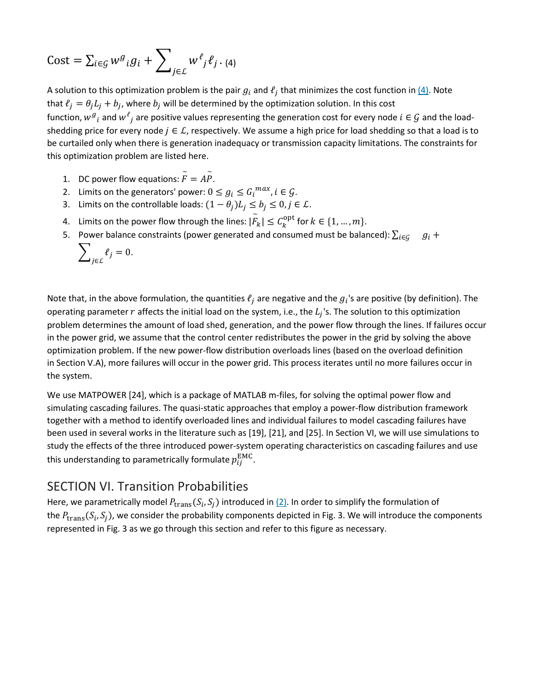$$
\text{Cost} = \sum_{i \in \mathcal{G}} w^g{}_i g_i + \sum_{j \in \mathcal{L}} w^\ell{}_j \ell_j \, . \, \text{(4)}
$$

A solution to this optimization problem is the pair  $g_i$  and  $\ell_j$  that minimizes the cost function in  $\underline{(4)}$ . Note that  $\ell_i = \theta_i L_i + b_i$ , where  $b_i$  will be determined by the optimization solution. In this cost function,  $w^g{}_i$  and  $w^t{}_j$  are positive values representing the generation cost for every node  $i \in \mathcal{G}$  and the loadshedding price for every node  $j \in L$ , respectively. We assume a high price for load shedding so that a load is to be curtailed only when there is generation inadequacy or transmission capacity limitations. The constraints for this optimization problem are listed here.

- 1. DC power flow equations:  $\widetilde{F}$  $= AP$  $\tilde{\tilde{P}}$ .
- 2. Limits on the generators' power:  $0 \le g_i \le G_i^{max}$ ,  $i \in \mathcal{G}$ .
- 3. Limits on the controllable loads:  $(1 \theta_j)L_j \leq b_j \leq 0, j \in \mathcal{L}$ .
- 4. Limits on the power flow through the lines:  $|\stackrel{\sim}{F}_\cdot|$  $|k_k| \leq C_k^{\text{opt}}$  for  $k \in \{1, ..., m\}.$
- 5. Power balance constraints (power generated and consumed must be balanced):  $\sum_{i\in G}$   $g_i$  +

$$
\sum\nolimits_{j\in\mathcal{L}}\ell_j=0.
$$

Note that, in the above formulation, the quantities  $\ell_j$  are negative and the  $g_i$ 's are positive (by definition). The operating parameter  $r$  affects the initial load on the system, i.e., the  $L_i$ 's. The solution to this optimization problem determines the amount of load shed, generation, and the power flow through the lines. If failures occur in the power grid, we assume that the control center redistributes the power in the grid by solving the above optimization problem. If the new power-flow distribution overloads lines (based on the overload definition in Section V.A), more failures will occur in the power grid. This process iterates until no more failures occur in the system.

We use MATPOWER [24], which is a package of MATLAB m-files, for solving the optimal power flow and simulating cascading failures. The quasi-static approaches that employ a power-flow distribution framework together with a method to identify overloaded lines and individual failures to model cascading failures have been used in several works in the literature such as [19], [21], and [25]. In Section VI, we will use simulations to study the effects of the three introduced power-system operating characteristics on cascading failures and use this understanding to parametrically formulate  $p_{ij}^{\text{EMC}}$ .

#### SECTION VI. Transition Probabilities

Here, we parametrically model  $P_{trans}(S_i, S_j)$  introduced in  $(2)$ . In order to simplify the formulation of the  $P_{\text{trans}}(S_i, S_j)$ , we consider the probability components depicted in Fig. 3. We will introduce the components represented in Fig. 3 as we go through this section and refer to this figure as necessary.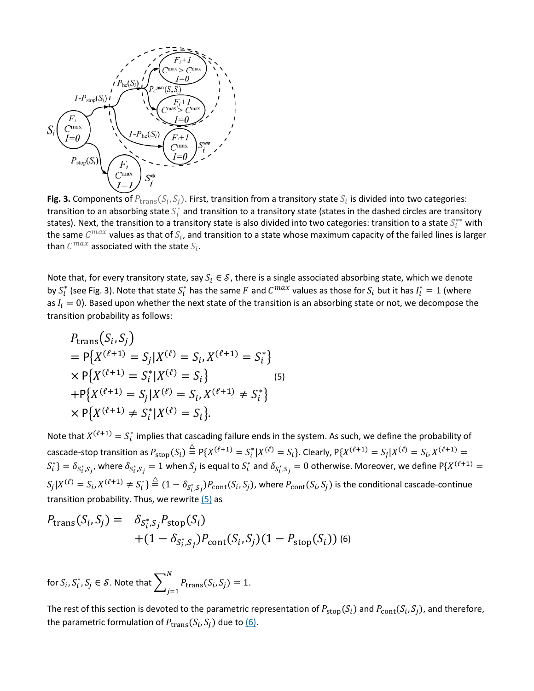

**Fig. 3.** Components of  $P_{trans}(S_i, S_j)$ . First, transition from a transitory state  $S_i$  is divided into two categories: transition to an absorbing state  $S_i^*$  and transition to a transitory state (states in the dashed circles are transitory states). Next, the transition to a transitory state is also divided into two categories: transition to a state  $S_i^{**}$  with the same  $C^{max}$  values as that of  $S_i$ , and transition to a state whose maximum capacity of the failed lines is larger than  $C^{max}$  associated with the state  $S_i$ .

Note that, for every transitory state, say  $S_i \in S$ , there is a single associated absorbing state, which we denote by  $S_i^*$  (see Fig. 3). Note that state  $S_i^*$  has the same  $F$  and  $C^{max}$  values as those for  $S_i$  but it has  $I_i^*=1$  (where as  $I_i = 0$ ). Based upon whether the next state of the transition is an absorbing state or not, we decompose the transition probability as follows:

$$
P_{trans}(S_i, S_j)
$$
  
=  $P\{X^{(\ell+1)} = S_j | X^{(\ell)} = S_i, X^{(\ell+1)} = S_i^* \}$   
×  $P\{X^{(\ell+1)} = S_i^* | X^{(\ell)} = S_i\}$  (5)  
+  $P\{X^{(\ell+1)} = S_j | X^{(\ell)} = S_i, X^{(\ell+1)} \neq S_i^* \}$   
×  $P\{X^{(\ell+1)} \neq S_i^* | X^{(\ell)} = S_i\}.$ 

Note that  $X^{(\ell+1)} = S_i^*$  implies that cascading failure ends in the system. As such, we define the probability of cascade-stop transition as  $P_{\text{stop}}(S_i) \stackrel{\triangle}{=} P\{X^{(\ell+1)} = S_i^* | X^{(\ell)} = S_i\}$ . Clearly,  $P\{X^{(\ell+1)} = S_j | X^{(\ell)} = S_i, X^{(\ell+1)} = S_i\}$  $\{S_i^*\}=\delta_{S_i^*,S_j}$ , where  $\delta_{S_i^*,S_j}=1$  when  $S_j$  is equal to  $S_i^*$  and  $\delta_{S_i^*,S_j}=0$  otherwise. Moreover, we define  ${\rm P}\{X^{(\ell+1)}=0\}$  $S_j|X^{(\ell)}=S_i, X^{(\ell+1)}\neq S_i^*\}\stackrel{\triangle}{=} (1-\delta_{S_i^*,S_j})P_{\rm cont}(S_i,S_j)$ , where  $P_{\rm cont}(S_i,S_j)$  is the conditional cascade-continue transition probability. Thus, we rewrite  $(5)$  as

$$
P_{\text{trans}}(S_i, S_j) = \delta_{S_i^*, S_j} P_{\text{stop}}(S_i)
$$
  
 
$$
+ (1 - \delta_{S_i^*, S_j}) P_{\text{cont}}(S_i, S_j) (1 - P_{\text{stop}}(S_i))
$$
 (6)

for  $S_i$ ,  $S_i^*$ ,  $S_j \in \mathcal{S}$ . Note that  $\sum\nolimits_{i=1}^N P_\text{trans}(S_i, S_j) = 1$  $j=1$ .

The rest of this section is devoted to the parametric representation of  $P_{\rm stop}(S_i)$  and  $P_{\rm cont}(S_i, S_i)$ , and therefore, the parametric formulation of  $P_{trans}(S_i, S_j)$  due to  $\underline{(6)}$ .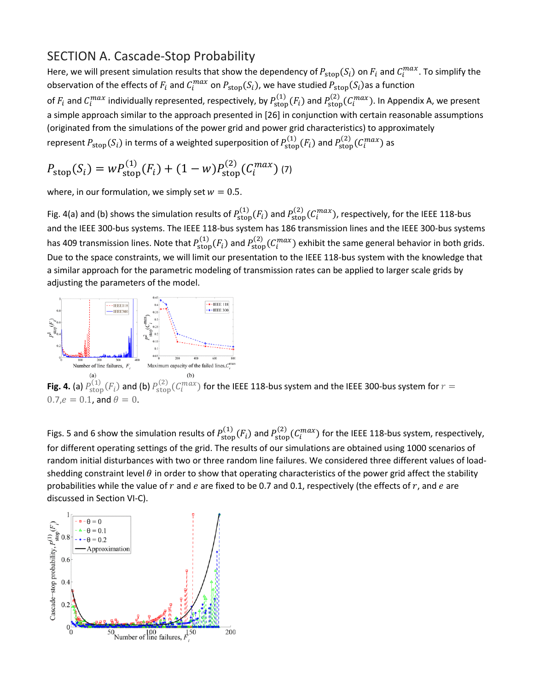#### SECTION A. Cascade-Stop Probability

Here, we will present simulation results that show the dependency of  $P_{stop}(S_i)$  on  $F_i$  and  $C_i^{max}$ . To simplify the observation of the effects of  $F_i$  and  $C_i^{max}$  on  $P_{stop}(S_i)$ , we have studied  $P_{stop}(S_i)$ as a function of  $F_i$  and  $C_i^{max}$  individually represented, respectively, by  $P_{stop}^{(1)}(F_i)$  and  $P_{stop}^{(2)}(C_i^{max})$ . In Appendix A, we present a simple approach similar to the approach presented in [26] in conjunction with certain reasonable assumptions (originated from the simulations of the power grid and power grid characteristics) to approximately represent  $P_{\text{stop}}(S_i)$  in terms of a weighted superposition of  $P_{\text{stop}}^{(1)}(F_i)$  and  $P_{\text{stop}}^{(2)}(C_i^{max})$  as

$$
P_{\text{stop}}(S_i) = w P_{\text{stop}}^{(1)}(F_i) + (1 - w) P_{\text{stop}}^{(2)}(C_i^{max}) \tag{7}
$$

where, in our formulation, we simply set  $w = 0.5$ .

Fig. 4(a) and (b) shows the simulation results of  $P_{\text{stop}}^{(1)}(F_i)$  and  $P_{\text{stop}}^{(2)}(C_i^{max})$ , respectively, for the IEEE 118-bus and the IEEE 300-bus systems. The IEEE 118-bus system has 186 transmission lines and the IEEE 300-bus systems has 409 transmission lines. Note that  $P_{\text{stop}}^{(1)}(F_i)$  and  $P_{\text{stop}}^{(2)}(C_i^{max})$  exhibit the same general behavior in both grids. Due to the space constraints, we will limit our presentation to the IEEE 118-bus system with the knowledge that a similar approach for the parametric modeling of transmission rates can be applied to larger scale grids by adjusting the parameters of the model.



**Fig. 4.** (a)  $P_{\text{stop}}^{(1)}(F_i)$  and (b)  $P_{\text{stop}}^{(2)}(C_i^{max})$  for the IEEE 118-bus system and the IEEE 300-bus system for  $r=$  $0.7, e = 0.1$ , and  $\theta = 0$ .

Figs. 5 and 6 show the simulation results of  $P_{stop}^{(1)}(F_i)$  and  $P_{stop}^{(2)}(C_i^{max})$  for the IEEE 118-bus system, respectively, for different operating settings of the grid. The results of our simulations are obtained using 1000 scenarios of random initial disturbances with two or three random line failures. We considered three different values of loadshedding constraint level  $\theta$  in order to show that operating characteristics of the power grid affect the stability probabilities while the value of  $r$  and  $e$  are fixed to be 0.7 and 0.1, respectively (the effects of  $r$ , and  $e$  are discussed in Section VI-C).

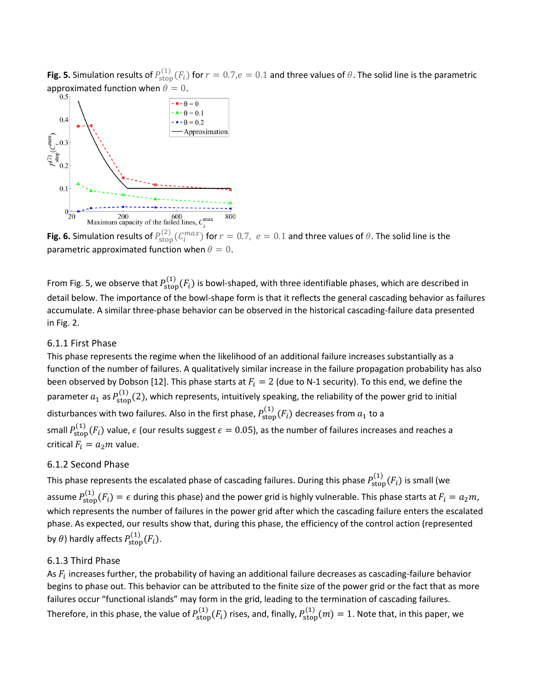**Fig. 5.** Simulation results of  $P_{\text{stop}}^{(1)}(F_i)$  for  $r = 0.7, e = 0.1$  and three values of  $\theta$ . The solid line is the parametric



**Fig. 6.** Simulation results of  $P_{\text{stop}}^{(2)}(C_i^{max})$  for  $r = 0.7$ ,  $e = 0.1$  and three values of  $\theta$ . The solid line is the parametric approximated function when  $\theta = 0$ .

From Fig. 5, we observe that  $P_{\text{stop}}^{(1)}(F_i)$  is bowl-shaped, with three identifiable phases, which are described in detail below. The importance of the bowl-shape form is that it reflects the general cascading behavior as failures accumulate. A similar three-phase behavior can be observed in the historical cascading-failure data presented in Fig. 2.

#### 6.1.1 First Phase

This phase represents the regime when the likelihood of an additional failure increases substantially as a function of the number of failures. A qualitatively similar increase in the failure propagation probability has also been observed by Dobson [12]. This phase starts at  $F_i = 2$  (due to N-1 security). To this end, we define the parameter  $a_1$  as  $P_{\text{stop}}^{(1)}(2)$ , which represents, intuitively speaking, the reliability of the power grid to initial disturbances with two failures. Also in the first phase,  $P^{(1)}_{\rm stop}(F_i)$  decreases from  $a_1$  to a small  $P_{\text{stop}}^{(1)}(F_i)$  value,  $\epsilon$  (our results suggest  $\epsilon = 0.05$ ), as the number of failures increases and reaches a critical  $F_i = a_2 m$  value.

#### 6.1.2 Second Phase

This phase represents the escalated phase of cascading failures. During this phase  $P^{(1)}_{\text{stop}}(F_i)$  is small (we assume  $P_{\text{stop}}^{(1)}(F_i) = \epsilon$  during this phase) and the power grid is highly vulnerable. This phase starts at  $F_i = a_2 m$ , which represents the number of failures in the power grid after which the cascading failure enters the escalated phase. As expected, our results show that, during this phase, the efficiency of the control action (represented by  $\theta$ ) hardly affects  $P^{(1)}_{\rm stop}(F_i)$ .

#### 6.1.3 Third Phase

As  $F_i$  increases further, the probability of having an additional failure decreases as cascading-failure behavior begins to phase out. This behavior can be attributed to the finite size of the power grid or the fact that as more failures occur "functional islands" may form in the grid, leading to the termination of cascading failures. Therefore, in this phase, the value of  $P_{\text{stop}}^{(1)}(F_i)$  rises, and, finally,  $P_{\text{stop}}^{(1)}(m)=1$ . Note that, in this paper, we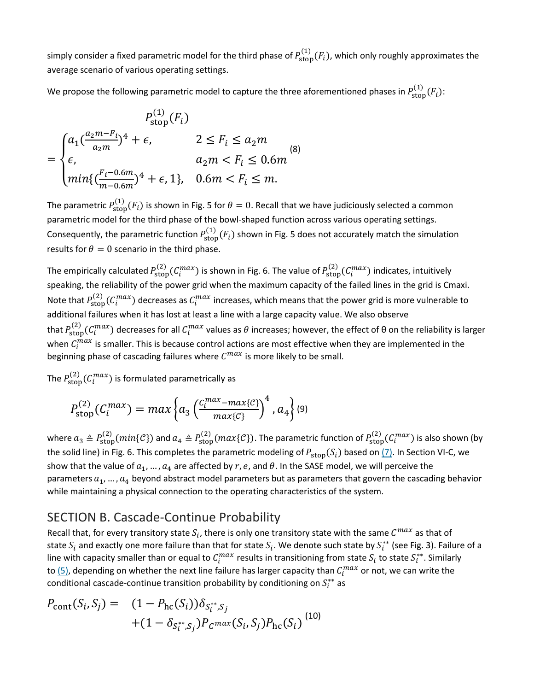simply consider a fixed parametric model for the third phase of  $P^{(1)}_{stop}(F_i)$ , which only roughly approximates the average scenario of various operating settings.

We propose the following parametric model to capture the three aforementioned phases in  $P^{(1)}_{\rm stop}(F_i)$ :

$$
P_{\text{stop}}^{(1)}(F_i)
$$
  
= 
$$
\begin{cases} a_1(\frac{a_2m-F_i}{a_2m})^4 + \epsilon, & 2 \le F_i \le a_2m \\ \epsilon, & a_2m < F_i \le 0.6m \\ min\{(\frac{F_i - 0.6m}{m - 0.6m})^4 + \epsilon, 1\}, & 0.6m < F_i \le m. \end{cases}
$$
 (8)

The parametric  $P^{(1)}_{\text{stop}}(F_i)$  is shown in Fig. 5 for  $\theta=0$ . Recall that we have judiciously selected a common parametric model for the third phase of the bowl-shaped function across various operating settings. Consequently, the parametric function  $P_{\text{stop}}^{(1)}(F_i)$  shown in Fig. 5 does not accurately match the simulation results for  $\theta = 0$  scenario in the third phase.

The empirically calculated  $P_{\text{stop}}^{(2)}(C_i^{max})$  is shown in Fig. 6. The value of  $P_{\text{stop}}^{(2)}(C_i^{max})$  indicates, intuitively speaking, the reliability of the power grid when the maximum capacity of the failed lines in the grid is Cmaxi. Note that  $P_{\text{stop}}^{(2)}(\mathcal{C}_i^{max})$  decreases as  $\mathcal{C}_i^{max}$  increases, which means that the power grid is more vulnerable to additional failures when it has lost at least a line with a large capacity value. We also observe that  $P_{\rm stop}^{(2)}(C_i^{max})$  decreases for all  $C_i^{max}$  values as  $\theta$  increases; however, the effect of  $\theta$  on the reliability is larger when  $C_l^{max}$  is smaller. This is because control actions are most effective when they are implemented in the beginning phase of cascading failures where  $C^{max}$  is more likely to be small.

The  $P_{\text{stop}}^{(2)}$   $(C_i^{max})$  is formulated parametrically as

$$
P_{\text{stop}}^{(2)}(C_i^{max}) = max\left\{a_3 \left(\frac{C_i^{max} - max\{C\}}{max\{C\}}\right)^4, a_4\right\} (9)
$$

where  $a_3 \triangleq P_{\text{stop}}^{(2)}(min\{\mathcal{C}\})$  and  $a_4 \triangleq P_{\text{stop}}^{(2)}(max\{\mathcal{C}\})$ . The parametric function of  $P_{\text{stop}}^{(2)}(C_i^{max})$  is also shown (by the solid line) in Fig. 6. This completes the parametric modeling of  $P_{stop}(S_i)$  based on  $(7)$ . In Section VI-C, we show that the value of  $a_1, ..., a_4$  are affected by r, e, and  $\theta$ . In the SASE model, we will perceive the parameters  $a_1, ..., a_4$  beyond abstract model parameters but as parameters that govern the cascading behavior while maintaining a physical connection to the operating characteristics of the system.

#### SECTION B. Cascade-Continue Probability

Recall that, for every transitory state  $S_i$ , there is only one transitory state with the same  $C^{max}$  as that of state  $S_i$  and exactly one more failure than that for state  $S_i.$  We denote such state by  $S_i^{**}$  (see Fig. 3). Failure of a line with capacity smaller than or equal to  $C_l^{max}$  results in transitioning from state  $S_l$  to state  $S_l^{**}$ . Similarly to [\(5\),](https://ieeexplore.ieee.org/abstract/document/#deqn5) depending on whether the next line failure has larger capacity than  $C^{max}_{l}$  or not, we can write the conditional cascade-continue transition probability by conditioning on  $S_i^{\ast\ast}$  as

$$
P_{\text{cont}}(S_i, S_j) = (1 - P_{\text{hc}}(S_i)) \delta_{S_i^{**}, S_j} + (1 - \delta_{S_i^{**}, S_j}) P_{\text{c}} \max(S_i, S_j) P_{\text{hc}}(S_i)
$$
\n<sup>(10)</sup>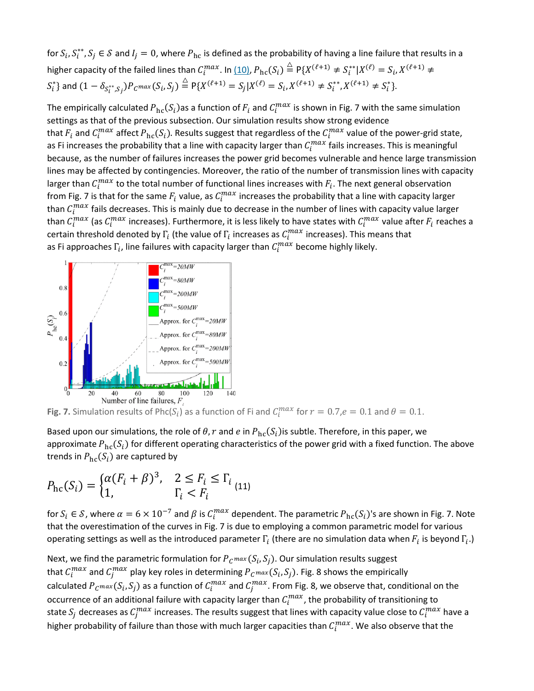for  $S_i$ ,  $S_i^{**}$ ,  $S_j\in\mathcal{S}$  and  $I_j=0$ , where  $P_{\rm hc}$  is defined as the probability of having a line failure that results in a higher capacity of the failed lines than  $C_i^{max}$ . In <u>(10)</u>,  $P_{\text{hc}}(S_i) \stackrel{\triangle}{=} P\{X^{(\ell+1)} \neq S_i^{**} | X^{(\ell)} = S_i, X^{(\ell+1)} \neq S_i^{**} \}$  $S_i^*$ } and  $(1 - \delta_{S_i^{**}, S_j}) P_c \max(S_i, S_j) \stackrel{\triangle}{=} P\{X^{(\ell+1)} = S_j | X^{(\ell)} = S_i, X^{(\ell+1)} \neq S_i^{**}, X^{(\ell+1)} \neq S_i^* \}.$ 

The empirically calculated  $P_{\text{hc}}(S_i)$ as a function of  $F_i$  and  $C_i^{max}$  is shown in Fig. 7 with the same simulation settings as that of the previous subsection. Our simulation results show strong evidence that  $F_i$  and  $C_i^{max}$  affect  $P_{\text{hc}}(S_i)$ . Results suggest that regardless of the  $C_i^{max}$  value of the power-grid state, as Fi increases the probability that a line with capacity larger than  $C_i^{max}$  fails increases. This is meaningful because, as the number of failures increases the power grid becomes vulnerable and hence large transmission lines may be affected by contingencies. Moreover, the ratio of the number of transmission lines with capacity larger than  $C_i^{max}$  to the total number of functional lines increases with  $F_i$ . The next general observation from Fig. 7 is that for the same  $F_i$  value, as  $C_i^{max}$  increases the probability that a line with capacity larger than  $C_l^{max}$  fails decreases. This is mainly due to decrease in the number of lines with capacity value larger than  $C_i^{max}$  (as  $C_i^{max}$  increases). Furthermore, it is less likely to have states with  $C_i^{max}$  value after  $F_i$  reaches a certain threshold denoted by  $\Gamma_i$  (the value of  $\Gamma_i$  increases as  $C_i^{max}$  increases). This means that as Fi approaches  $\Gamma_{\!i}$ , line failures with capacity larger than  $C^{max}_{i}$  become highly likely.



**Fig. 7.** Simulation results of Phc( $S_i$ ) as a function of Fi and  $C_i^{max}$  for  $r = 0.7, e = 0.1$  and  $\theta = 0.1$ .

Based upon our simulations, the role of  $\theta$ , r and e in  $P_{\text{hc}}(S_i)$ is subtle. Therefore, in this paper, we approximate  $P_{hc}(S_i)$  for different operating characteristics of the power grid with a fixed function. The above trends in  $P_{\text{hc}}(S_i)$  are captured by

$$
P_{\rm hc}(S_i) = \begin{cases} \alpha (F_i + \beta)^3, & 2 \le F_i \le \Gamma_i \\ 1, & \Gamma_i < F_i \end{cases} \tag{11}
$$

for  $S_i \in S$ , where  $\alpha = 6 \times 10^{-7}$  and  $\beta$  is  $C_i^{max}$  dependent. The parametric  $P_{\text{hc}}(S_i)$ 's are shown in Fig. 7. Note that the overestimation of the curves in Fig. 7 is due to employing a common parametric model for various operating settings as well as the introduced parameter  $\Gamma_i$  (there are no simulation data when  $F_i$  is beyond  $\Gamma_i$ .)

Next, we find the parametric formulation for  $P_{C^{max}}(S_i, S_j)$ . Our simulation results suggest that  $\mathcal{C}^{max}_i$  and  $\mathcal{C}^{max}_j$  play key roles in determining  ${P}_C$   $max(S_i, S_j)$ . Fig. 8 shows the empirically calculated  $P_C$ max $(S_i, S_j)$  as a function of  $C_i^{max}$  and  $C_j^{max}$ . From Fig. 8, we observe that, conditional on the occurrence of an additional failure with capacity larger than  $C_i^{max}$ , the probability of transitioning to state  $S_j$  decreases as  $C_j^{max}$  increases. The results suggest that lines with capacity value close to  $C_l^{max}$  have a higher probability of failure than those with much larger capacities than  $\mathcal{C}^{max}_{l}$ . We also observe that the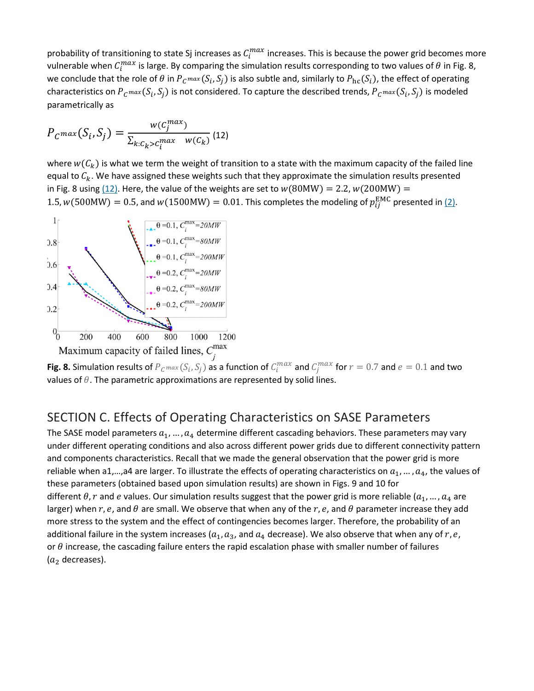probability of transitioning to state Sj increases as  $C_i^{max}$  increases. This is because the power grid becomes more vulnerable when  $C^{max}_i$  is large. By comparing the simulation results corresponding to two values of  $\theta$  in Fig. 8, we conclude that the role of  $\theta$  in  $P_{C^{max}}(S_i, S_j)$  is also subtle and, similarly to  $P_{hc}(S_i)$ , the effect of operating characteristics on  $P_{C}$   $max(S_i, S_j)$  is not considered. To capture the described trends,  $P_{C}$   $max(S_i, S_j)$  is modeled parametrically as

$$
P_{C} \max(S_i, S_j) = \frac{w(c_j^{\max})}{\sum_{k:C_k > c_i^{\max}} w(c_k)} (12)
$$

where  $w(C_k)$  is what we term the weight of transition to a state with the maximum capacity of the failed line equal to  $C_k$ . We have assigned these weights such that they approximate the simulation results presented in Fig. 8 using  $(12)$ . Here, the value of the weights are set to  $w(80MW) = 2.2$ ,  $w(200MW) =$ 1.5,  $w(500MW) = 0.5$ , and  $w(1500MW) = 0.01$ . This completes the modeling of  $p_{ij}^{EMC}$  presented in [\(2\).](https://ieeexplore.ieee.org/abstract/document/#deqn2)



**Fig. 8.** Simulation results of  $P_{C}$   $max(S_i, S_j)$  as a function of  $C_i^{max}$  and  $C_j^{max}$  for  $r = 0.7$  and  $e = 0.1$  and two values of  $\theta$ . The parametric approximations are represented by solid lines.

#### SECTION C. Effects of Operating Characteristics on SASE Parameters

The SASE model parameters  $a_1, ..., a_4$  determine different cascading behaviors. These parameters may vary under different operating conditions and also across different power grids due to different connectivity pattern and components characteristics. Recall that we made the general observation that the power grid is more reliable when a1,...,a4 are larger. To illustrate the effects of operating characteristics on  $a_1$ , ...,  $a_4$ , the values of these parameters (obtained based upon simulation results) are shown in Figs. 9 and 10 for different  $\theta$ , r and e values. Our simulation results suggest that the power grid is more reliable ( $a_1, ..., a_4$  are larger) when r, e, and  $\theta$  are small. We observe that when any of the r, e, and  $\theta$  parameter increase they add more stress to the system and the effect of contingencies becomes larger. Therefore, the probability of an additional failure in the system increases ( $a_1, a_3$ , and  $a_4$  decrease). We also observe that when any of r, e, or  $\theta$  increase, the cascading failure enters the rapid escalation phase with smaller number of failures  $(a<sub>2</sub>$  decreases).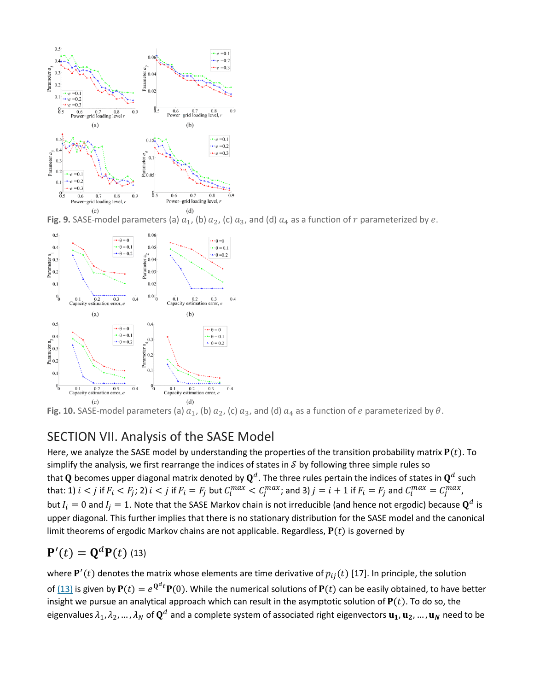

Fig. 9. SASE-model parameters (a)  $a_1$ , (b)  $a_2$ , (c)  $a_3$ , and (d)  $a_4$  as a function of  $r$  parameterized by  $e$ .



**Fig. 10.** SASE-model parameters (a)  $a_1$ , (b)  $a_2$ , (c)  $a_3$ , and (d)  $a_4$  as a function of *e* parameterized by  $\theta$ .

#### SECTION VII. Analysis of the SASE Model

Here, we analyze the SASE model by understanding the properties of the transition probability matrix  $P(t)$ . To simplify the analysis, we first rearrange the indices of states in  $\mathcal S$  by following three simple rules so that Q becomes upper diagonal matrix denoted by  $\mathbf{Q}^d$ . The three rules pertain the indices of states in  $\mathbf{Q}^d$  such that: 1)  $i < j$  if  $F_i < F_j$ ; 2)  $i < j$  if  $F_i = F_j$  but  $C_i^{max} < C_j^{max}$ ; and 3)  $j = i + 1$  if  $F_i = F_j$  and  $C_i^{max} = C_j^{max}$ , but  $I_i = 0$  and  $I_i = 1$ . Note that the SASE Markov chain is not irreducible (and hence not ergodic) because  $\mathbf{Q}^d$  is upper diagonal. This further implies that there is no stationary distribution for the SASE model and the canonical limit theorems of ergodic Markov chains are not applicable. Regardless,  $P(t)$  is governed by

# ${\bf P}'(t) = {\bf Q}^d {\bf P}(t)$  (13)

where  ${\bf P}'(t)$  denotes the matrix whose elements are time derivative of  $p_{ij}(t)$  [17]. In principle, the solution of [\(13\)](https://ieeexplore.ieee.org/abstract/document/#deqn13) is given by  $P(t) = e^{Q^d t} P(0)$ . While the numerical solutions of  $P(t)$  can be easily obtained, to have better insight we pursue an analytical approach which can result in the asymptotic solution of  $P(t)$ . To do so, the eigenvalues  $\lambda_1, \lambda_2, ..., \lambda_N$  of  $\mathbf{Q}^d$  and a complete system of associated right eigenvectors  $\mathbf{u_1}, \mathbf{u_2}, ..., \mathbf{u_N}$  need to be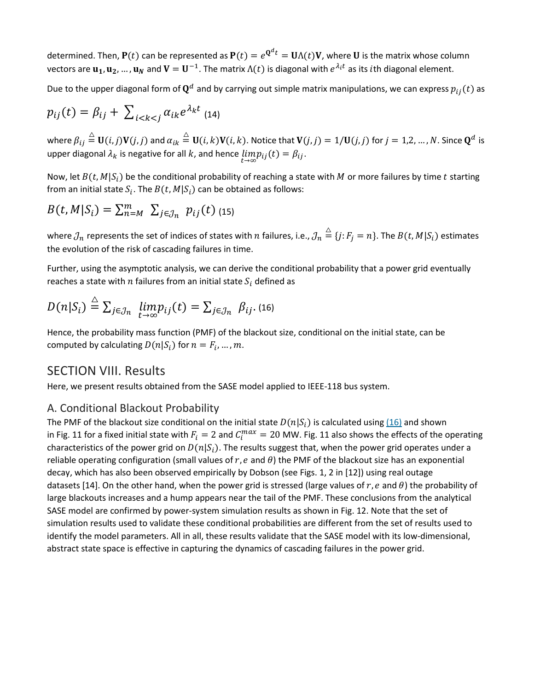determined. Then,  $P(t)$  can be represented as  $P(t) = e^{Q^d t} = U \Lambda(t) V$ , where U is the matrix whose column vectors are  $\mathbf{u}_1, \mathbf{u}_2, ..., \mathbf{u}_N$  and  $\mathbf{V} = \mathbf{U}^{-1}$ . The matrix  $\Lambda(t)$  is diagonal with  $e^{\lambda_i t}$  as its *i*th diagonal element.

Due to the upper diagonal form of  $\mathbf{Q}^d$  and by carrying out simple matrix manipulations, we can express  $p_{ij}(t)$  as

$$
p_{ij}(t) = \beta_{ij} + \sum_{i < k < j} \alpha_{ik} e^{\lambda_k t} \tag{14}
$$

where  $\beta_{ij}\triangleq\mathbf{U}(i,j)\mathbf{V}(j,j)$  and  $\alpha_{ik}\triangleq\mathbf{U}(i,k)\mathbf{V}(i,k).$  Notice that  $\mathbf{V}(j,j)=1/\mathbf{U}(j,j)$  for  $j=1,2,...,N.$  Since  $\mathbf{Q}^d$  is upper diagonal  $\lambda_k$  is negative for all  $k$ , and hence  $\lim\limits_{t\to\infty}p_{ij}(t)=\beta_{ij}.$ 

Now, let  $B(t, M|S_i)$  be the conditional probability of reaching a state with M or more failures by time t starting from an initial state  $S_i$ . The  $B(t, M|S_i)$  can be obtained as follows:

$$
B(t, M|S_i) = \sum_{n=M}^{m} \sum_{j \in \mathcal{J}_n} p_{ij}(t)
$$
 (15)

where  $\jmath_n$  represents the set of indices of states with  $n$  failures, i.e.,  $\jmath_n\stackrel{\triangle}{=} \{j:F_j=n\}.$  The  $B(t,M|S_i)$  estimates the evolution of the risk of cascading failures in time.

Further, using the asymptotic analysis, we can derive the conditional probability that a power grid eventually reaches a state with  $n$  failures from an initial state  $S_i$  defined as

$$
D(n|S_i) \stackrel{\triangle}{=} \sum_{j \in \mathcal{J}_n} \lim_{t \to \infty} p_{ij}(t) = \sum_{j \in \mathcal{J}_n} \beta_{ij}.
$$
 (16)

Hence, the probability mass function (PMF) of the blackout size, conditional on the initial state, can be computed by calculating  $D(n | S_i)$  for  $n = F_i, ..., m$ .

#### SECTION VIII. Results

Here, we present results obtained from the SASE model applied to IEEE-118 bus system.

#### A. Conditional Blackout Probability

The PMF of the blackout size conditional on the initial state  $D(n | S_i)$  is calculated using [\(16\)](https://ieeexplore.ieee.org/abstract/document/#deqn16) and shown in Fig. 11 for a fixed initial state with  $F_i = 2$  and  $C_i^{max} = 20$  MW. Fig. 11 also shows the effects of the operating characteristics of the power grid on  $D(n | S_i)$ . The results suggest that, when the power grid operates under a reliable operating configuration (small values of  $r$ ,  $e$  and  $\theta$ ) the PMF of the blackout size has an exponential decay, which has also been observed empirically by Dobson (see Figs. 1, 2 in [12]) using real outage datasets [14]. On the other hand, when the power grid is stressed (large values of r, e and  $\theta$ ) the probability of large blackouts increases and a hump appears near the tail of the PMF. These conclusions from the analytical SASE model are confirmed by power-system simulation results as shown in Fig. 12. Note that the set of simulation results used to validate these conditional probabilities are different from the set of results used to identify the model parameters. All in all, these results validate that the SASE model with its low-dimensional, abstract state space is effective in capturing the dynamics of cascading failures in the power grid.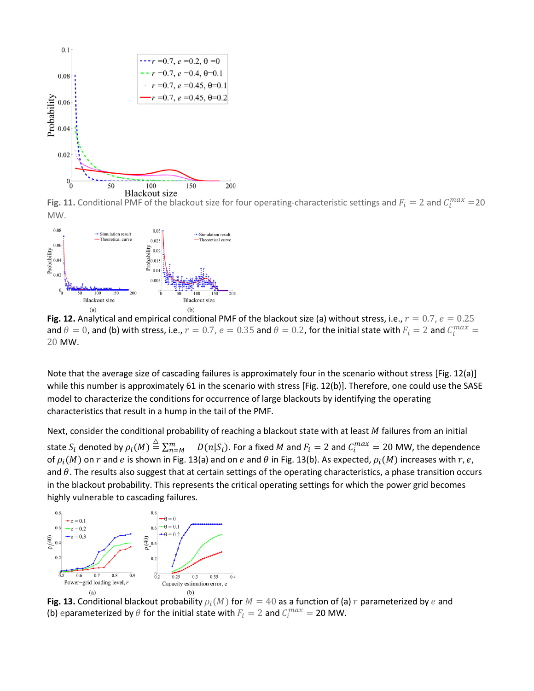

Fig. 11. Conditional PMF of the blackout size for four operating-characteristic settings and  $F_i = 2$  and  $C_i^{max} = 20$ MW.



**Fig. 12.** Analytical and empirical conditional PMF of the blackout size (a) without stress, i.e.,  $r = 0.7$ ,  $e = 0.25$ and  $\theta = 0$ , and (b) with stress, i.e.,  $r = 0.7$ ,  $e = 0.35$  and  $\theta = 0.2$ , for the initial state with  $F_i = 2$  and  $C_i^{max} =$ 20 MW.

Note that the average size of cascading failures is approximately four in the scenario without stress [Fig. 12(a)] while this number is approximately 61 in the scenario with stress [Fig. 12(b)]. Therefore, one could use the SASE model to characterize the conditions for occurrence of large blackouts by identifying the operating characteristics that result in a hump in the tail of the PMF.

Next, consider the conditional probability of reaching a blackout state with at least  $M$  failures from an initial state  $S_i$  denoted by  $\rho_i(M) \stackrel{\triangle}{=} \sum_{n=M}^m D(n|S_i)$ . For a fixed  $M$  and  $F_i=2$  and  $C_i^{max}=20$  MW, the dependence of  $\rho_i(M)$  on  $r$  and  $e$  is shown in Fig. 13(a) and on  $e$  and  $\theta$  in Fig. 13(b). As expected,  $\rho_i(M)$  increases with  $r, e$ , and  $\theta$ . The results also suggest that at certain settings of the operating characteristics, a phase transition occurs in the blackout probability. This represents the critical operating settings for which the power grid becomes highly vulnerable to cascading failures.



**Fig. 13.** Conditional blackout probability  $\rho_i(M)$  for  $M = 40$  as a function of (a)  $r$  parameterized by  $e$  and (b) eparameterized by  $\theta$  for the initial state with  $F_i = 2$  and  $C_i^{max} = 20$  MW.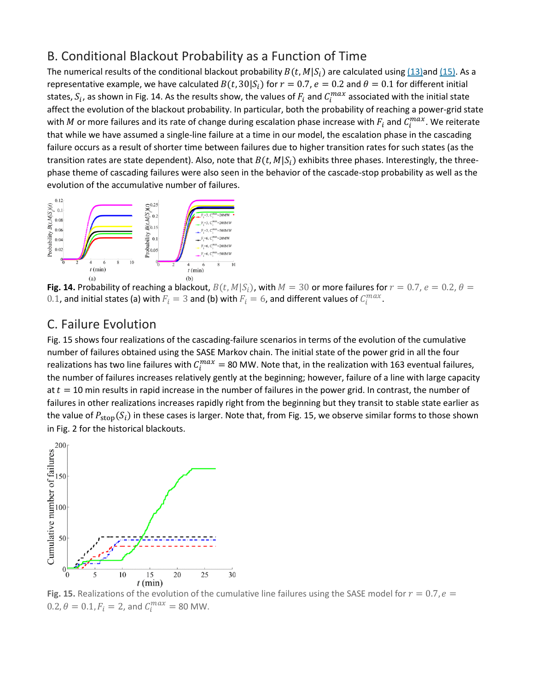#### B. Conditional Blackout Probability as a Function of Time

The numerical results of the conditional blackout probability  $B(t, M|S_i)$  are calculated using [\(13\)a](https://ieeexplore.ieee.org/abstract/document/#deqn13)nd [\(15\).](https://ieeexplore.ieee.org/abstract/document/#deqn15) As a representative example, we have calculated  $B(t, 30|S_i)$  for  $r = 0.7$ ,  $e = 0.2$  and  $\theta = 0.1$  for different initial states,  $S_i$ , as shown in Fig. 14. As the results show, the values of  $F_i$  and  $C^{max}_i$  associated with the initial state affect the evolution of the blackout probability. In particular, both the probability of reaching a power-grid state with  $M$  or more failures and its rate of change during escalation phase increase with  $F_i$  and  $C_i^{max}$ . We reiterate that while we have assumed a single-line failure at a time in our model, the escalation phase in the cascading failure occurs as a result of shorter time between failures due to higher transition rates for such states (as the transition rates are state dependent). Also, note that  $B(t, M|S_i)$  exhibits three phases. Interestingly, the threephase theme of cascading failures were also seen in the behavior of the cascade-stop probability as well as the evolution of the accumulative number of failures.



Fig. 14. Probability of reaching a blackout,  $B(t, M|S_i)$ , with  $M = 30$  or more failures for  $r = 0.7$ ,  $e = 0.2$ ,  $\theta =$ 0.1, and initial states (a) with  $F_i = 3$  and (b) with  $F_i = 6$ , and different values of  $C_i^{max}$ .

## C. Failure Evolution

Fig. 15 shows four realizations of the cascading-failure scenarios in terms of the evolution of the cumulative number of failures obtained using the SASE Markov chain. The initial state of the power grid in all the four realizations has two line failures with  $C_i^{max} = 80$  MW. Note that, in the realization with 163 eventual failures, the number of failures increases relatively gently at the beginning; however, failure of a line with large capacity at  $t = 10$  min results in rapid increase in the number of failures in the power grid. In contrast, the number of failures in other realizations increases rapidly right from the beginning but they transit to stable state earlier as the value of  $P_{\text{stop}}(S_i)$  in these cases is larger. Note that, from Fig. 15, we observe similar forms to those shown in Fig. 2 for the historical blackouts.



**Fig. 15.** Realizations of the evolution of the cumulative line failures using the SASE model for  $r = 0.7$ ,  $e =$  $0.2, \theta = 0.1, F_i = 2$ , and  $C_i^{max} = 80$  MW.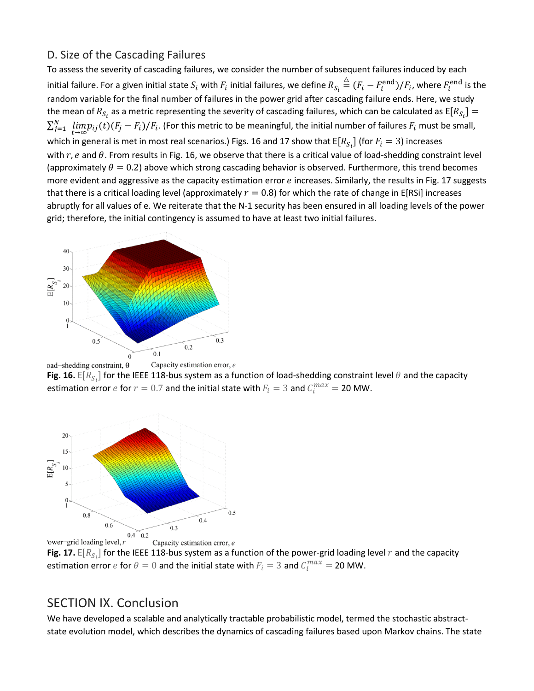#### D. Size of the Cascading Failures

To assess the severity of cascading failures, we consider the number of subsequent failures induced by each initial failure. For a given initial state  $S_i$  with  $F_i$  initial failures, we define  $R_{S_i}\stackrel{\triangle}{=} (F_i-F_i^{\rm end})/F_i$ , where  $F_i^{\rm end}$  is the random variable for the final number of failures in the power grid after cascading failure ends. Here, we study the mean of  $R_{S_i}$  as a metric representing the severity of cascading failures, which can be calculated as  $E[R_{S_i}] =$  $\sum_{j=1}^N \; \lim_{t\to\infty}\! p_{ij}(t) (F_j-F_i)/F_i.$  (For this metric to be meaningful, the initial number of failures  $F_i$  must be small, which in general is met in most real scenarios.) Figs. 16 and 17 show that  $\mathsf{E}[R_{S_i}]$  (for  $F_i=3$ ) increases with  $r$ , e and  $\theta$ . From results in Fig. 16, we observe that there is a critical value of load-shedding constraint level (approximately  $\theta = 0.2$ ) above which strong cascading behavior is observed. Furthermore, this trend becomes more evident and aggressive as the capacity estimation error e increases. Similarly, the results in Fig. 17 suggests that there is a critical loading level (approximately  $r = 0.8$ ) for which the rate of change in E[RSi] increases abruptly for all values of e. We reiterate that the N-1 security has been ensured in all loading levels of the power grid; therefore, the initial contingency is assumed to have at least two initial failures.



Capacity estimation error, e oad-shedding constraint,  $\theta$ **Fig. 16.**  $E[R_{S_i}]$  for the IEEE 118-bus system as a function of load-shedding constraint level  $\theta$  and the capacity estimation error  $e$  for  $r = 0.7$  and the initial state with  $F_i = 3$  and  $C_i^{max} = 20$  MW.



**Fig. 17.**  $E[R_{S_i}]$  for the IEEE 118-bus system as a function of the power-grid loading level  $r$  and the capacity estimation error  $e$  for  $\theta = 0$  and the initial state with  $F_i = 3$  and  $C_i^{max} = 20$  MW.

#### SECTION IX. Conclusion

We have developed a scalable and analytically tractable probabilistic model, termed the stochastic abstractstate evolution model, which describes the dynamics of cascading failures based upon Markov chains. The state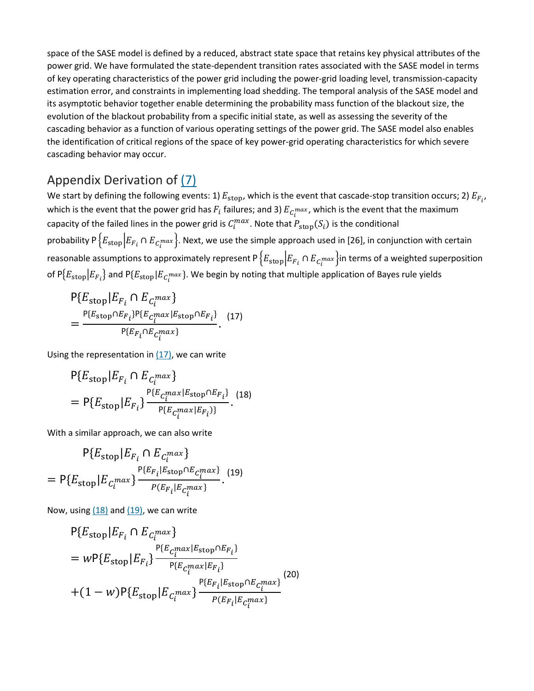space of the SASE model is defined by a reduced, abstract state space that retains key physical attributes of the power grid. We have formulated the state-dependent transition rates associated with the SASE model in terms of key operating characteristics of the power grid including the power-grid loading level, transmission-capacity estimation error, and constraints in implementing load shedding. The temporal analysis of the SASE model and its asymptotic behavior together enable determining the probability mass function of the blackout size, the evolution of the blackout probability from a specific initial state, as well as assessing the severity of the cascading behavior as a function of various operating settings of the power grid. The SASE model also enables the identification of critical regions of the space of key power-grid operating characteristics for which severe cascading behavior may occur.

## Appendix Derivation of [\(7\)](https://ieeexplore.ieee.org/abstract/document/#deqn7)

We start by defining the following events: 1)  $E_{\rm stop}$ , which is the event that cascade-stop transition occurs; 2)  $E_{F_{i'}}$ which is the event that the power grid has  $F_i$  failures; and 3)  $E_{c_i^{max}}$ , which is the event that the maximum capacity of the failed lines in the power grid is  $C_i^{max}$ . Note that  $P_{\text{stop}}(S_i)$  is the conditional probability P $\{E_{\rm stop} | E_{F_i} \cap E_{C_i^{max}}\}$ . Next, we use the simple approach used in [26], in conjunction with certain reasonable assumptions to approximately represent P $\big\{E_{\rm stop}\big|E_{F_i}\cap E_{C_i^{max}}\big\}$ in terms of a weighted superposition of  $P\{E_{\rm stop}|E_{F_i}\}$  and  $P\{E_{\rm stop}|E_{C_i^{max}}\}$ . We begin by noting that multiple application of Bayes rule yields

$$
P\{E_{\text{stop}}|E_{F_i} \cap E_{C_i^{max}}\}
$$
  
= 
$$
\frac{P\{E_{\text{stop}} \cap E_{F_i}\} P\{E_{C_i^{max}}|E_{\text{stop}} \cap E_{F_i}\}}{P\{E_{F_i} \cap E_{C_i^{max}}\}}.
$$
 (17)

Using the representation in  $(17)$ , we can write

$$
P{E_{stop}|E_{F_i} \cap E_{C_i^{max}}}
$$
  
= 
$$
P{E_{stop}|E_{F_i}} \frac{P{E_{C_i^{max}|E_{stop} \cap E_{F_i}}}}{P{E_{C_i^{max}|E_{F_i}})}}.
$$
 (18)

With a similar approach, we can also write

$$
P\{E_{\text{stop}}|E_{F_i} \cap E_{C_i^{max}}\}
$$
  
= 
$$
P\{E_{\text{stop}}|E_{C_i^{max}}\}\frac{P\{E_{F_i}|E_{\text{stop}} \cap E_{C_i^{max}}\}}{P(E_{F_i}|E_{C_i^{max}})}.
$$
 (19)

Now, using  $(18)$  and  $(19)$ , we can write

$$
P{E_{stop|E_{F_i} \cap E_{C_i}^{max}}}
$$
  
= 
$$
wP{E_{stop|E_{F_i}}}\frac{P{E_{C_i}^{max|E_{stop} \cap E_{F_i}}}}{P{E_{C_i}^{max|E_{F_i}}}}
$$
  
+ 
$$
(1 - w)P{E_{stop|E_{C_i}^{max}}}\frac{P{E_{F_i|E_{stop} \cap E_{C_i}^{max}}}}{P{E_{F_i|E_{C_i}^{max}}}}
$$
 (20)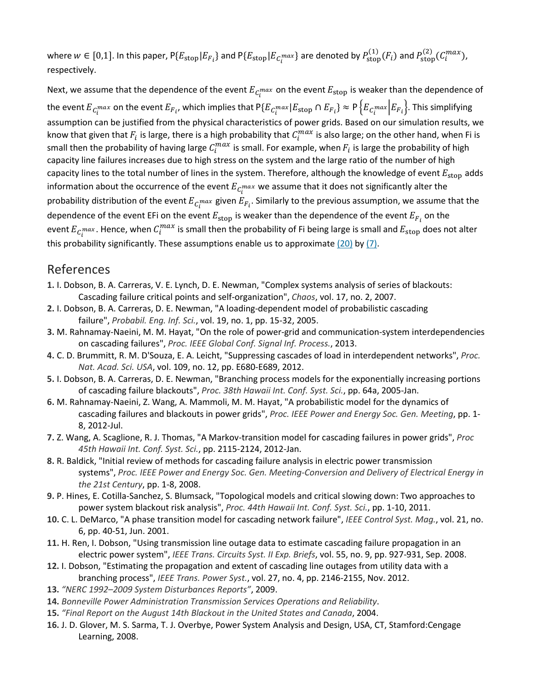where  $w \in [0,1]$ . In this paper,  $P\{E_{\text{stop}}|E_{F_i}\}$  and  $P\{E_{\text{stop}}|E_{C_i^{max}}\}$  are denoted by  $P_{\text{stop}}^{(1)}(F_i)$  and  $P_{\text{stop}}^{(2)}(C_i^{max})$ , respectively.

Next, we assume that the dependence of the event  $E_{c_i^{max}}$  on the event  $E_{stop}$  is weaker than the dependence of the event  $E_{C_i^{max}}$  on the event  $E_{F_i}$ , which implies that  $\mathsf{P}\{E_{C_i^{max}}|E_{stop}\cap E_{F_i}\}\approx \mathsf{P}\{E_{C_i^{max}}|E_{F_i}\}.$  This simplifying assumption can be justified from the physical characteristics of power grids. Based on our simulation results, we know that given that  $F_i$  is large, there is a high probability that  $C^{max}_i$  is also large; on the other hand, when Fi is small then the probability of having large  $C_i^{max}$  is small. For example, when  $F_i$  is large the probability of high capacity line failures increases due to high stress on the system and the large ratio of the number of high capacity lines to the total number of lines in the system. Therefore, although the knowledge of event  $E_{stop}$  adds information about the occurrence of the event  $E_{\mathit{C}_{t}^{max}}$  we assume that it does not significantly alter the probability distribution of the event  $E_{C_l}$ max given  $E_{F_i}$ . Similarly to the previous assumption, we assume that the dependence of the event EFi on the event  $E_{stop}$  is weaker than the dependence of the event  $E_{F_i}$  on the event  $E_{C_l}$ max. Hence, when  $C_l^{max}$  is small then the probability of Fi being large is small and  $E_{stop}$  does not alter this probability significantly. These assumptions enable us to approximate  $(20)$  by  $(7)$ .

#### References

- **1.** I. Dobson, B. A. Carreras, V. E. Lynch, D. E. Newman, "Complex systems analysis of series of blackouts: Cascading failure critical points and self-organization", *Chaos*, vol. 17, no. 2, 2007.
- **2.** I. Dobson, B. A. Carreras, D. E. Newman, "A loading-dependent model of probabilistic cascading failure", *Probabil. Eng. Inf. Sci.*, vol. 19, no. 1, pp. 15-32, 2005.
- **3.** M. Rahnamay-Naeini, M. M. Hayat, "On the role of power-grid and communication-system interdependencies on cascading failures", *Proc. IEEE Global Conf. Signal Inf. Process.*, 2013.
- **4.** C. D. Brummitt, R. M. D'Souza, E. A. Leicht, "Suppressing cascades of load in interdependent networks", *Proc. Nat. Acad. Sci. USA*, vol. 109, no. 12, pp. E680-E689, 2012.
- **5.** I. Dobson, B. A. Carreras, D. E. Newman, "Branching process models for the exponentially increasing portions of cascading failure blackouts", *Proc. 38th Hawaii Int. Conf. Syst. Sci.*, pp. 64a, 2005-Jan.
- **6.** M. Rahnamay-Naeini, Z. Wang, A. Mammoli, M. M. Hayat, "A probabilistic model for the dynamics of cascading failures and blackouts in power grids", *Proc. IEEE Power and Energy Soc. Gen. Meeting*, pp. 1- 8, 2012-Jul.
- **7.** Z. Wang, A. Scaglione, R. J. Thomas, "A Markov-transition model for cascading failures in power grids", *Proc 45th Hawaii Int. Conf. Syst. Sci.*, pp. 2115-2124, 2012-Jan.
- **8.** R. Baldick, "Initial review of methods for cascading failure analysis in electric power transmission systems", *Proc. IEEE Power and Energy Soc. Gen. Meeting-Conversion and Delivery of Electrical Energy in the 21st Century*, pp. 1-8, 2008.
- **9.** P. Hines, E. Cotilla-Sanchez, S. Blumsack, "Topological models and critical slowing down: Two approaches to power system blackout risk analysis", *Proc. 44th Hawaii Int. Conf. Syst. Sci.*, pp. 1-10, 2011.
- **10.** C. L. DeMarco, "A phase transition model for cascading network failure", *IEEE Control Syst. Mag.*, vol. 21, no. 6, pp. 40-51, Jun. 2001.
- **11.** H. Ren, I. Dobson, "Using transmission line outage data to estimate cascading failure propagation in an electric power system", *IEEE Trans. Circuits Syst. II Exp. Briefs*, vol. 55, no. 9, pp. 927-931, Sep. 2008.
- **12.** I. Dobson, "Estimating the propagation and extent of cascading line outages from utility data with a branching process", *IEEE Trans. Power Syst.*, vol. 27, no. 4, pp. 2146-2155, Nov. 2012.
- **13.** *"NERC 1992–2009 System Disturbances Reports"*, 2009.
- **14.** *Bonneville Power Administration Transmission Services Operations and Reliability*.
- **15.** *"Final Report on the August 14th Blackout in the United States and Canada*, 2004.
- **16.** J. D. Glover, M. S. Sarma, T. J. Overbye, Power System Analysis and Design, USA, CT, Stamford:Cengage Learning, 2008.